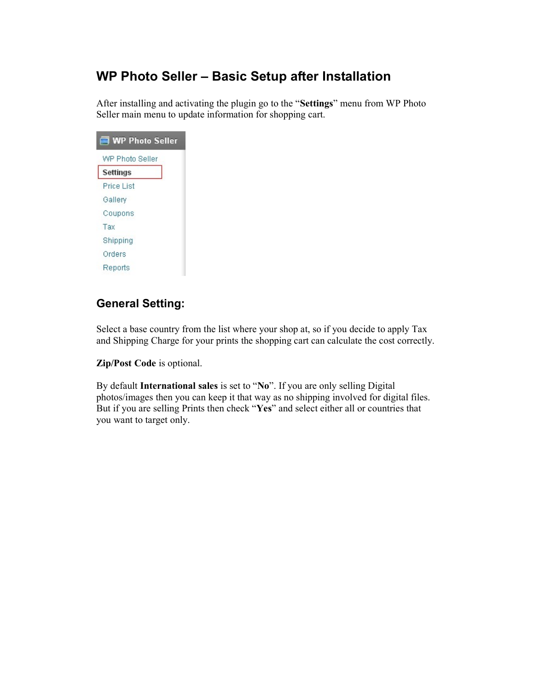## WP Photo Seller – Basic Setup after Installation

After installing and activating the plugin go to the "Settings" menu from WP Photo Seller main menu to update information for shopping cart.

| <b>WP Photo Seller</b> |
|------------------------|
| WP Photo Seller        |
| Settings               |
| Price List             |
| Gallery                |
| Coupons                |
| Tax                    |
| Shipping               |
| Orders                 |
| Reports                |

## General Setting:

Select a base country from the list where your shop at, so if you decide to apply Tax and Shipping Charge for your prints the shopping cart can calculate the cost correctly.

Zip/Post Code is optional.

By default International sales is set to "No". If you are only selling Digital photos/images then you can keep it that way as no shipping involved for digital files. But if you are selling Prints then check "Yes" and select either all or countries that you want to target only.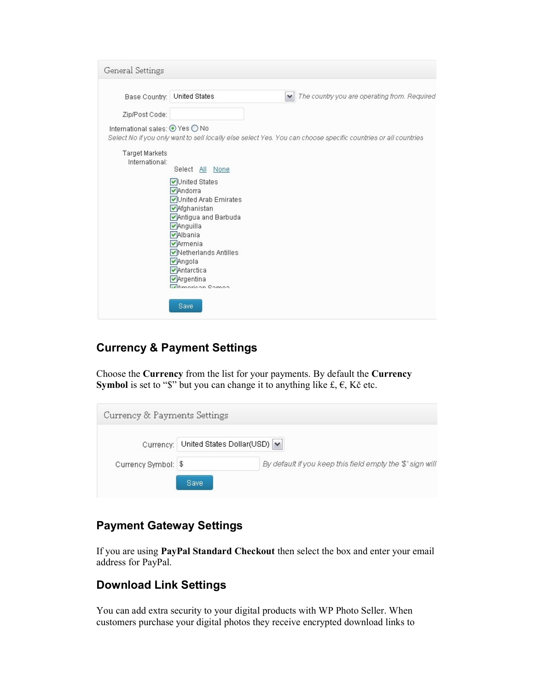| General Settings                                  |                                                                                                                |
|---------------------------------------------------|----------------------------------------------------------------------------------------------------------------|
| Base Country:                                     | The country you are operating from. Required<br>United States<br>$\checkmark$                                  |
| Zip/Post Code:<br>International sales: ⊙ Yes ○ No | Select No if you only want to sell locally else select Yes. You can choose specific countries or all countries |
| Target Markets<br>International:                  | Select All None                                                                                                |
|                                                   | <b>√United States</b><br>Andorra<br>United Arab Emirates                                                       |
|                                                   | Afghanistan<br>Antigua and Barbuda<br>Anguilla<br><b>VAlbania</b>                                              |
|                                                   | Armenia<br><b>▽</b> Netherlands Antilles<br>Angola<br>Antarctica                                               |
|                                                   | $\triangledown$ Argentina<br><i><u><b>UAmorican</b></u></i> Campa                                              |
|                                                   | Save                                                                                                           |

## Currency & Payment Settings

Choose the Currency from the list for your payments. By default the Currency **Symbol** is set to "\$" but you can change it to anything like  $f, \epsilon, K\zeta$  etc.

| Currency & Payments Settings |                                       |                                                           |
|------------------------------|---------------------------------------|-----------------------------------------------------------|
|                              | Currency: United States Dollar(USD) V |                                                           |
| Currency Symbol: \$          |                                       | By default if you keep this field empty the \$' sign will |
|                              | <b>Save</b>                           |                                                           |

## Payment Gateway Settings

If you are using PayPal Standard Checkout then select the box and enter your email address for PayPal.

### Download Link Settings

You can add extra security to your digital products with WP Photo Seller. When customers purchase your digital photos they receive encrypted download links to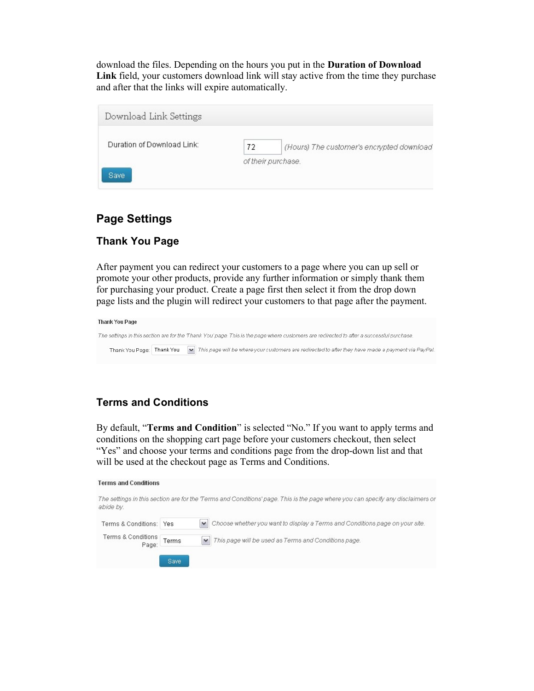download the files. Depending on the hours you put in the Duration of Download Link field, your customers download link will stay active from the time they purchase and after that the links will expire automatically.

| Download Link Settings     |    |                                           |
|----------------------------|----|-------------------------------------------|
| Duration of Download Link: | 72 | (Hours) The customer's encrypted download |
| Save                       |    | of their purchase.                        |

#### Page Settings

#### Thank You Page

After payment you can redirect your customers to a page where you can up sell or promote your other products, provide any further information or simply thank them for purchasing your product. Create a page first then select it from the drop down page lists and the plugin will redirect your customers to that page after the payment.



#### Terms and Conditions

Save

By default, "Terms and Condition" is selected "No." If you want to apply terms and conditions on the shopping cart page before your customers checkout, then select "Yes" and choose your terms and conditions page from the drop-down list and that will be used at the checkout page as Terms and Conditions.

#### **Terms and Conditions**

| abide by.                    |       | The settings in this section are for the Terms and Conditions' page. This is the page where you can specify any disclaimers or |
|------------------------------|-------|--------------------------------------------------------------------------------------------------------------------------------|
| Terms & Conditions: Yes      |       | Iv Choose whether you want to display a Terms and Conditions page on your site.                                                |
| Terms & Conditions<br>  Page | Terms | M This page will be used as Terms and Conditions page.                                                                         |